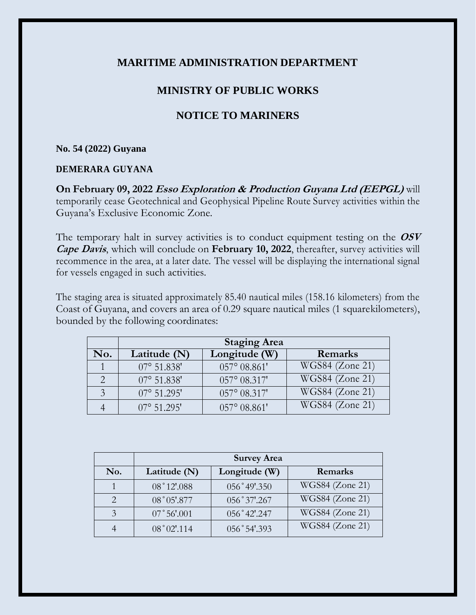## **MARITIME ADMINISTRATION DEPARTMENT**

## **MINISTRY OF PUBLIC WORKS**

# **NOTICE TO MARINERS**

#### **No. 54 (2022) Guyana**

### **DEMERARA GUYANA**

**On February 09, 2022 Esso Exploration & Production Guyana Ltd (EEPGL)** will temporarily cease Geotechnical and Geophysical Pipeline Route Survey activities within the Guyana's Exclusive Economic Zone.

The temporary halt in survey activities is to conduct equipment testing on the **OSV Cape Davis**, which will conclude on **February 10, 2022**, thereafter, survey activities will recommence in the area, at a later date. The vessel will be displaying the international signal for vessels engaged in such activities.

The staging area is situated approximately 85.40 nautical miles (158.16 kilometers) from the Coast of Guyana, and covers an area of 0.29 square nautical miles (1 squarekilometers), bounded by the following coordinates:

|     | <b>Staging Area</b>  |                       |                               |
|-----|----------------------|-----------------------|-------------------------------|
| No. | Latitude $(N)$       | Longitude (W)         | Remarks                       |
|     | $07^{\circ}$ 51.838' | $057^{\circ} 08.861'$ | $WGS84$ (Zone 21)             |
|     | $07^{\circ}$ 51.838' | $057^{\circ}$ 08.317' | WGS84 (Zone 21)               |
| 3   | $07^{\circ}$ 51.295' | $057^{\circ} 08.317'$ | WGS84 (Zone 21)               |
|     | $07^{\circ}$ 51.295' | $057^{\circ}$ 08.861' | $\overline{W}$ GS84 (Zone 21) |

|                   | <b>Survey Area</b> |               |                        |
|-------------------|--------------------|---------------|------------------------|
| No.               | Latitude $(N)$     | Longitude (W) | Remarks                |
|                   | 08°12'.088         | 056°49'.350   | WGS84 (Zone 21)        |
|                   | 08° 05'.877        | 056°37'.267   | WGS84 (Zone 21)        |
| $\mathbf{\Omega}$ | 07°56'.001         | 056°42'.247   | <b>WGS84</b> (Zone 21) |
|                   | 08°02'.114         | 056°54'.393   | <b>WGS84 (Zone 21)</b> |